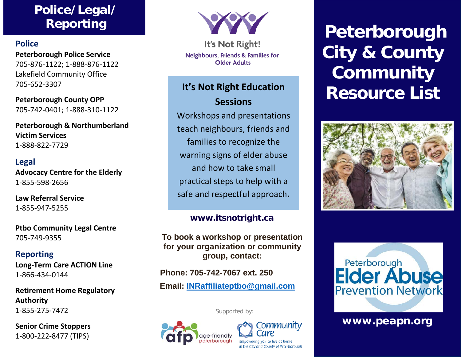# **Police/Legal/ Reporting**

#### **Police**

**Peterborough Police Service** 705-876-1122; 1-888-876-1122 Lakefield Community Office 705-652-3307

**Peterborough County OPP** 705-742-0401; 1-888-310-1122

**Peterborough & Northumberland Victim Services** 1-888-822-7729

#### **Legal**

**Advocacy Centre for the Elderly** 1-855-598-2656

**Law Referral Service**  1-855-947-5255

**Ptbo Community Legal Centre** 705-749-9355

#### **Reporting**

**Long-Term Care ACTION Line** 1-866-434-0144

**Retirement Home Regulatory Authority** 1-855-275-7472

**Senior Crime Stoppers** 1-800-222-8477 (TIPS)



It's Not Right! Neighbours, Friends & Families for **Older Adults** 

# **Sessions**

Workshops and presentations teach neighbours, friends and families to recognize the warning signs of elder abuse and how to take small practical steps to help with a safe and respectful approach**.**

#### **[www.itsnotright.ca](http://www.itsnotright.ca/)**

**To book a workshop or presentation for your organization or community group, contact:**

**Phone: 705-742-7067 ext. 250**

**Email: [INRaffiliateptbo@gmail.com](mailto:INRaffiliateptbo@gmail.com)**

Supported by:





# **Peterborough City & County Community It's Not Right Education Resource List**





#### www.peapn.org